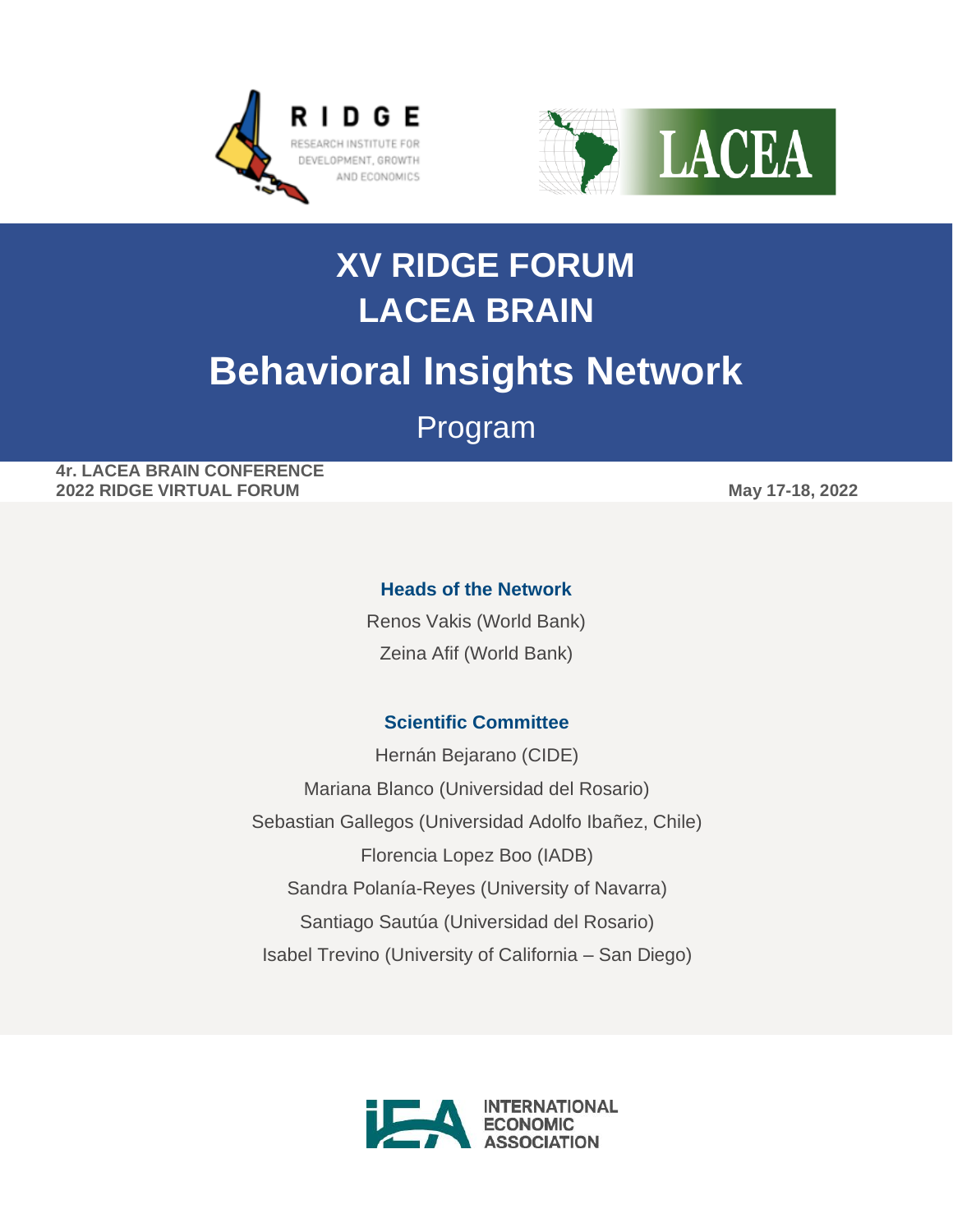



# **XV RIDGE FORUM LACEA BRAIN Behavioral Insights Network** Program

**4r. LACEA BRAIN CONFERENCE 2022 RIDGE VIRTUAL FORUM May 17-18, 2022**

### **Heads of the Network**

Renos Vakis (World Bank) Zeina Afif (World Bank)

### **Scientific Committee**

Hernán Bejarano (CIDE) Mariana Blanco (Universidad del Rosario) Sebastian Gallegos (Universidad Adolfo Ibañez, Chile) Florencia Lopez Boo (IADB) Sandra Polanía-Reyes (University of Navarra) Santiago Sautúa (Universidad del Rosario) Isabel Trevino (University of California – San Diego)

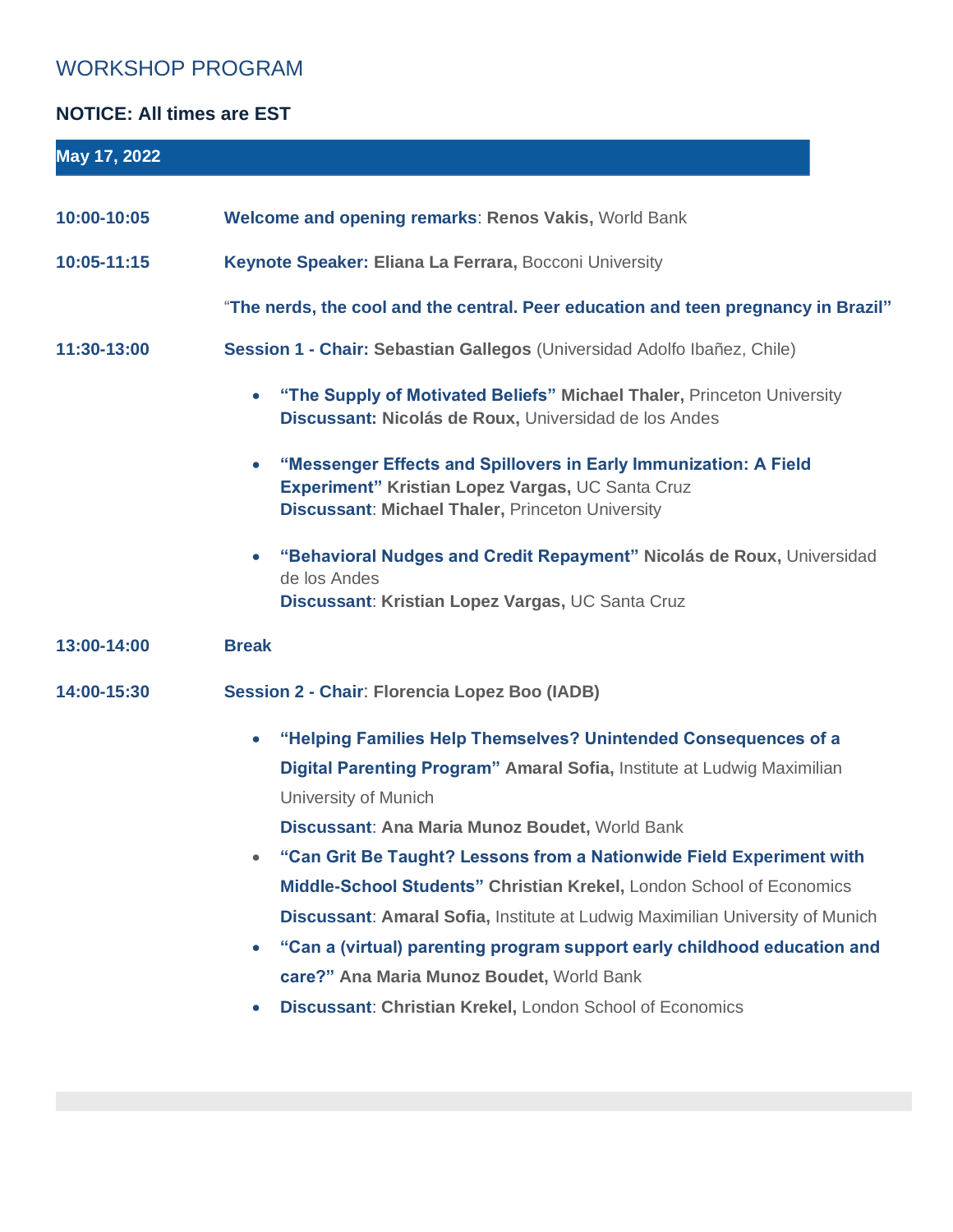## WORKSHOP PROGRAM

## **NOTICE: All times are EST**

| May 17, 2022 |                                                                                                                                                                                                                                                                                                                                                                                                                                                                                                                                                                                                          |
|--------------|----------------------------------------------------------------------------------------------------------------------------------------------------------------------------------------------------------------------------------------------------------------------------------------------------------------------------------------------------------------------------------------------------------------------------------------------------------------------------------------------------------------------------------------------------------------------------------------------------------|
| 10:00-10:05  | <b>Welcome and opening remarks: Renos Vakis, World Bank</b>                                                                                                                                                                                                                                                                                                                                                                                                                                                                                                                                              |
|              |                                                                                                                                                                                                                                                                                                                                                                                                                                                                                                                                                                                                          |
| 10:05-11:15  | Keynote Speaker: Eliana La Ferrara, Bocconi University                                                                                                                                                                                                                                                                                                                                                                                                                                                                                                                                                   |
|              | "The nerds, the cool and the central. Peer education and teen pregnancy in Brazil"                                                                                                                                                                                                                                                                                                                                                                                                                                                                                                                       |
| 11:30-13:00  | Session 1 - Chair: Sebastian Gallegos (Universidad Adolfo Ibañez, Chile)                                                                                                                                                                                                                                                                                                                                                                                                                                                                                                                                 |
|              | "The Supply of Motivated Beliefs" Michael Thaler, Princeton University<br>Discussant: Nicolás de Roux, Universidad de los Andes                                                                                                                                                                                                                                                                                                                                                                                                                                                                          |
|              | "Messenger Effects and Spillovers in Early Immunization: A Field<br>Experiment" Kristian Lopez Vargas, UC Santa Cruz<br><b>Discussant: Michael Thaler, Princeton University</b>                                                                                                                                                                                                                                                                                                                                                                                                                          |
|              | "Behavioral Nudges and Credit Repayment" Nicolás de Roux, Universidad<br>de los Andes<br>Discussant: Kristian Lopez Vargas, UC Santa Cruz                                                                                                                                                                                                                                                                                                                                                                                                                                                                |
| 13:00-14:00  | <b>Break</b>                                                                                                                                                                                                                                                                                                                                                                                                                                                                                                                                                                                             |
| 14:00-15:30  | <b>Session 2 - Chair: Florencia Lopez Boo (IADB)</b>                                                                                                                                                                                                                                                                                                                                                                                                                                                                                                                                                     |
|              | "Helping Families Help Themselves? Unintended Consequences of a<br>$\bullet$<br>Digital Parenting Program" Amaral Sofia, Institute at Ludwig Maximilian<br>University of Munich<br>Discussant: Ana Maria Munoz Boudet, World Bank<br>"Can Grit Be Taught? Lessons from a Nationwide Field Experiment with<br>Middle-School Students" Christian Krekel, London School of Economics<br>Discussant: Amaral Sofia, Institute at Ludwig Maximilian University of Munich<br>"Can a (virtual) parenting program support early childhood education and<br>$\bullet$<br>care?" Ana Maria Munoz Boudet, World Bank |
|              | Discussant: Christian Krekel, London School of Economics                                                                                                                                                                                                                                                                                                                                                                                                                                                                                                                                                 |